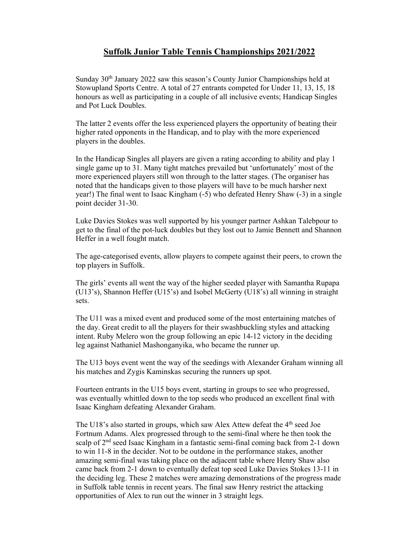## **Suffolk Junior Table Tennis Championships 2021/2022**

Sunday 30<sup>th</sup> January 2022 saw this season's County Junior Championships held at Stowupland Sports Centre. A total of 27 entrants competed for Under 11, 13, 15, 18 honours as well as participating in a couple of all inclusive events; Handicap Singles and Pot Luck Doubles.

The latter 2 events offer the less experienced players the opportunity of beating their higher rated opponents in the Handicap, and to play with the more experienced players in the doubles.

In the Handicap Singles all players are given a rating according to ability and play 1 single game up to 31. Many tight matches prevailed but 'unfortunately' most of the more experienced players still won through to the latter stages. (The organiser has noted that the handicaps given to those players will have to be much harsher next year!) The final went to Isaac Kingham (-5) who defeated Henry Shaw (-3) in a single point decider 31-30.

Luke Davies Stokes was well supported by his younger partner Ashkan Talebpour to get to the final of the pot-luck doubles but they lost out to Jamie Bennett and Shannon Heffer in a well fought match.

The age-categorised events, allow players to compete against their peers, to crown the top players in Suffolk.

The girls' events all went the way of the higher seeded player with Samantha Rupapa (U13's), Shannon Heffer (U15's) and Isobel McGerty (U18's) all winning in straight sets.

The U11 was a mixed event and produced some of the most entertaining matches of the day. Great credit to all the players for their swashbuckling styles and attacking intent. Ruby Melero won the group following an epic 14-12 victory in the deciding leg against Nathaniel Mashonganyika, who became the runner up.

The U13 boys event went the way of the seedings with Alexander Graham winning all his matches and Zygis Kaminskas securing the runners up spot.

Fourteen entrants in the U15 boys event, starting in groups to see who progressed, was eventually whittled down to the top seeds who produced an excellent final with Isaac Kingham defeating Alexander Graham.

The U18's also started in groups, which saw Alex Attew defeat the  $4<sup>th</sup>$  seed Joe Fortnum Adams. Alex progressed through to the semi-final where he then took the scalp of  $2<sup>nd</sup>$  seed Isaac Kingham in a fantastic semi-final coming back from 2-1 down to win 11-8 in the decider. Not to be outdone in the performance stakes, another amazing semi-final was taking place on the adjacent table where Henry Shaw also came back from 2-1 down to eventually defeat top seed Luke Davies Stokes 13-11 in the deciding leg. These 2 matches were amazing demonstrations of the progress made in Suffolk table tennis in recent years. The final saw Henry restrict the attacking opportunities of Alex to run out the winner in 3 straight legs.